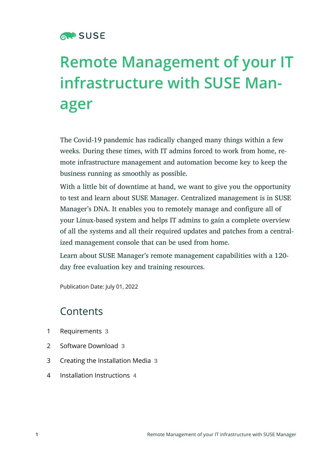

# **Remote Management of your IT infrastructure with SUSE Manager**

The Covid-19 pandemic has radically changed many things within a few weeks. During these times, with IT admins forced to work from home, remote infrastructure management and automation become key to keep the business running as smoothly as possible.

With a little bit of downtime at hand, we want to give you the opportunity to test and learn about SUSE Manager. Centralized management is in SUSE Manager's DNA. It enables you to remotely manage and configure all of your Linux-based system and helps IT admins to gain a complete overview of all the systems and all their required updates and patches from a centralized management console that can be used from home.

Learn about SUSE Manager's remote management capabilities with a 120 day free evaluation key and training resources.

Publication Date: July 01, 2022

### **Contents**

- [1](#page-2-0) [Requirements](#page-2-0) **3**
- [2](#page-2-1) Software [Download](#page-2-1) **3**
- [3](#page-2-2) Creating the [Installation](#page-2-2) Media **3**
- [4](#page-3-0) [Installation Instructions](#page-3-0) **4**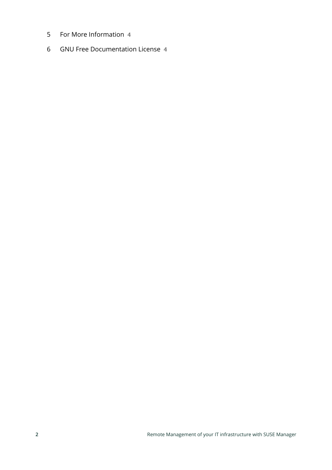- For More [Information](#page-3-1) **4**
- GNU Free [Documentation](#page-3-2) License **4**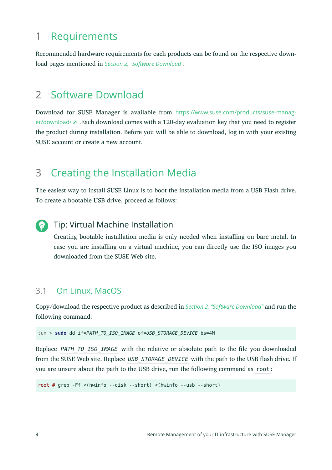## <span id="page-2-0"></span>1 Requirements

<span id="page-2-1"></span>Recommended hardware requirements for each products can be found on the respective download pages mentioned in *[Section 2, "Software Download"](#page-2-1)*.

### 2 Software Download

Download for SUSE Manager is available from [https://www.suse.com/products/suse-manag](https://www.suse.com/products/suse-manager/download/)[er/download/](https://www.suse.com/products/suse-manager/download/) . Each download comes with a 120-day evaluation key that you need to register the product during installation. Before you will be able to download, log in with your existing SUSE account or create a new account.

# <span id="page-2-2"></span>3 Creating the Installation Media

The easiest way to install SUSE Linux is to boot the installation media from a USB Flash drive. To create a bootable USB drive, proceed as follows:

### Tip: Virtual Machine Installation

Creating bootable installation media is only needed when installing on bare metal. In case you are installing on a virtual machine, you can directly use the ISO images you downloaded from the SUSE Web site.

### 3.1 On Linux, MacOS

Copy/download the respective product as described in *[Section 2, "Software Download"](#page-2-1)* and run the following command:

tux > **sudo** dd if=*PATH\_TO\_ISO\_IMAGE* of=*USB\_STORAGE\_DEVICE* bs=4M

Replace *PATH\_TO\_ISO\_IMAGE\_* with the relative or absolute path to the file you downloaded from the SUSE Web site. Replace USB\_STORAGE\_DEVICE\_with the path to the USB flash drive. If you are unsure about the path to the USB drive, run the following command as root :

root # grep -Ff <(hwinfo --disk --short) <(hwinfo --usb --short)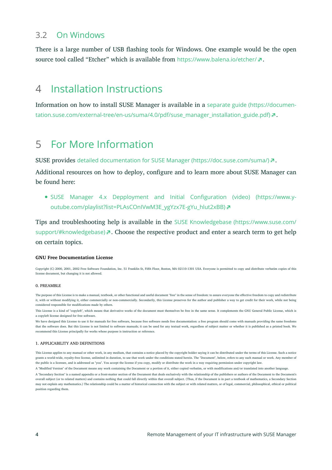### 3.2 On Windows

<span id="page-3-0"></span>There is a large number of USB flashing tools for Windows. One example would be the open source tool called "Etcher" which is available from <https://www.balena.io/etcher/> ...

### 4 Installation Instructions

<span id="page-3-1"></span>Information on how to install SUSE Manager is available in a [separate guide \(https://documen](https://documentation.suse.com/external-tree/en-us/suma/4.0/pdf/suse_manager_installation_guide.pdf)[tation.suse.com/external-tree/en-us/suma/4.0/pdf/suse\\_manager\\_installation\\_guide.pdf\)](https://documentation.suse.com/external-tree/en-us/suma/4.0/pdf/suse_manager_installation_guide.pdf) .

### 5 For More Information

SUSE provides [detailed documentation for SUSE Manager \(https://doc.suse.com/suma/\)](https://doc.suse.com/suma/) .

Additional resources on how to deploy, configure and to learn more about SUSE Manager can be found here:

[SUSE Manager 4.x Depployment and Initial Configuration \(video\) \(https://www.y](https://www.youtube.com/playlist?list=PLAsCOnIVwM3E_ygYzx7E-gYu_hlut2xBB)[outube.com/playlist?list=PLAsCOnIVwM3E\\_ygYzx7E-gYu\\_hlut2xBB\)](https://www.youtube.com/playlist?list=PLAsCOnIVwM3E_ygYzx7E-gYu_hlut2xBB)

Tips and troubleshooting help is available in the SUSE Knowledgebase [\(https://www.suse.com/](https://www.suse.com/support/#knowledgebase) [support/#knowledgebase\)](https://www.suse.com/support/#knowledgebase)  $\blacksquare$ . Choose the respective product and enter a search term to get help on certain topics.

#### <span id="page-3-2"></span>**GNU Free Documentation License**

Copyright (C) 2000, 2001, 2002 Free Software Foundation, Inc. 51 Franklin St, Fifth Floor, Boston, MA 02110-1301 USA. Everyone is permitted to copy and distribute verbatim copies of this license document, but changing it is not allowed.

#### 0. PREAMBLE

The purpose of this License is to make a manual, textbook, or other functional and useful document "free" in the sense of freedom: to assure everyone the effective freedom to copy and redistribute it, with or without modifying it, either commercially or non-commercially. Secondarily, this License preserves for the author and publisher a way to get credit for their work, while not being considered responsible for modifications made by others.

This License is a kind of "copyleft", which means that derivative works of the document must themselves be free in the same sense. It complements the GNU General Public License, which is a copyleft license designed for free software.

We have designed this License to use it for manuals for free software, because free software needs free documentation: a free program should come with manuals providing the same freedoms that the software does. But this License is not limited to software manuals; it can be used for any textual work, regardless of subject matter or whether it is published as a printed book. We recommend this License principally for works whose purpose is instruction or reference.

#### 1. APPLICABILITY AND DEFINITIONS

This License applies to any manual or other work, in any medium, that contains a notice placed by the copyright holder saying it can be distributed under the terms of this License. Such a notice grants a world-wide, royalty-free license, unlimited in duration, to use that work under the conditions stated herein. The "Document", below, refers to any such manual or work. Any member of the public is a licensee, and is addressed as "you". You accept the license if you copy, modify or distribute the work in a way requiring permission under copyright law.

A "Modified Version" of the Document means any work containing the Document or a portion of it, either copied verbatim, or with modifications and/or translated into another language.

A "Secondary Section" is a named appendix or a front-matter section of the Document that deals exclusively with the relationship of the publishers or authors of the Document to the Document's overall subject (or to related matters) and contains nothing that could fall directly within that overall subject. (Thus, if the Document is in part a textbook of mathematics, a Secondary Section may not explain any mathematics.) The relationship could be a matter of historical connection with the subject or with related matters, or of legal, commercial, philosophical, ethical or political position regarding them.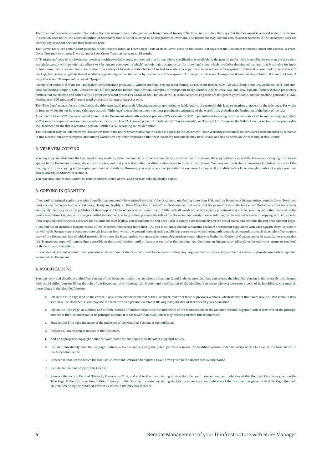The "Invariant Sections" are certain Secondary Sections whose titles are designated, as being those of Invariant Sections, in the notice that says that the Document is released under this License. If a section does not fit the above definition of Secondary then it is not allowed to be designated as Invariant. The Document may contain zero Invariant Sections. If the Document does not identify any Invariant Sections then there are none.

The "Cover Texts" are certain short passages of text that are listed, as Front-Cover Texts or Back-Cover Texts, in the notice that says that the Document is released under this License. A Front-Cover Text may be at most 5 words, and a Back-Cover Text may be at most 25 words.

A "Transparent" copy of the Document means a machine-readable copy, represented in a format whose specification is available to the general public, that is suitable for revising the document straightforwardly with generic text editors or (for images composed of pixels) generic paint programs or (for drawings) some widely available drawing editor, and that is suitable for input to text formatters or for automatic translation to a variety of formats suitable for input to text formatters. A copy made in an otherwise Transparent file format whose markup, or absence of markup, has been arranged to thwart or discourage subsequent modification by readers is not Transparent. An image format is not Transparent if used for any substantial amount of text. A copy that is not "Transparent" is called "Opaque".

Examples of suitable formats for Transparent copies include plain ASCII without markup, Texinfo input format, LaTeX input format, SGML or XML using a publicly available DTD, and standard-conforming simple HTML, PostScript or PDF designed for human modification. Examples of transparent image formats include PNG, XCF and JPG. Opaque formats include proprietary formats that can be read and edited only by proprietary word processors, SGML or XML for which the DTD and/or processing tools are not generally available, and the machine-generated HTML, PostScript or PDF produced by some word processors for output purposes only.

The "Title Page" means, for a printed book, the title page itself, plus such following pages as are needed to hold, legibly, the material this License requires to appear in the title page. For works in formats which do not have any title page as such, "Title Page" means the text near the most prominent appearance of the work's title, preceding the beginning of the body of the text.

A section "Entitled XYZ" means a named subunit of the Document whose title either is precisely XYZ or contains XYZ in parentheses following text that translates XYZ in another language. (Here XYZ stands for a specific section name mentioned below, such as "Acknowledgements", "Dedications", "Endorsements", or "History".) To "Preserve the Title" of such a section when you modify the Document means that it remains a section "Entitled XYZ" according to this definition.

The Document may include Warranty Disclaimers next to the notice which states that this License applies to the Document. These Warranty Disclaimers are considered to be included by reference in this License, but only as regards disclaiming warranties: any other implication that these Warranty Disclaimers may have is void and has no effect on the meaning of this License.

#### 2. VERBATIM COPYING

You may copy and distribute the Document in any medium, either commercially or non-commercially, provided that this License, the copyright notices, and the license notice saying this License applies to the Document are reproduced in all copies, and that you add no other conditions whatsoever to those of this License. You may not use technical measures to obstruct or control the reading or further copying of the copies you make or distribute. However, you may accept compensation in exchange for copies. If you distribute a large enough number of copies you must also follow the conditions in section 3.

You may also lend copies, under the same conditions stated above, and you may publicly display copies.

#### 3. COPYING IN QUANTITY

If you publish printed copies (or copies in media that commonly have printed covers) of the Document, numbering more than 100, and the Document's license notice requires Cover Texts, you must enclose the copies in covers that carry, clearly and legibly, all these Cover Texts: Front-Cover Texts on the front cover, and Back-Cover Texts on the back cover. Both covers must also clearly and legibly identify you as the publisher of these copies. The front cover must present the full title with all words of the title equally prominent and visible. You may add other material on the covers in addition. Copying with changes limited to the covers, as long as they preserve the title of the Document and satisfy these conditions, can be treated as verbatim copying in other respects. If the required texts for either cover are too voluminous to fit legibly, you should put the first ones listed (as many as fit reasonably) on the actual cover, and continue the rest onto adjacent pages. If you publish or distribute Opaque copies of the Document numbering more than 100, you must either include a machine-readable Transparent copy along with each Opaque copy, or state in or with each Opaque copy a computer-network location from which the general network-using public has access to download using public-standard network protocols a complete Transparent copy of the Document, free of added material. If you use the latter option, you must take reasonably prudent steps, when you begin distribution of Opaque copies in quantity, to ensure that this Transparent copy will remain thus accessible at the stated location until at least one year after the last time you distribute an Opaque copy (directly or through your agents or retailers) of that edition to the public.

It is requested, but not required, that you contact the authors of the Document well before redistributing any large number of copies, to give them a chance to provide you with an updated version of the Document.

#### 4. MODIFICATIONS

You may copy and distribute a Modified Version of the Document under the conditions of sections 2 and 3 above, provided that you release the Modified Version under precisely this License, with the Modified Version filling the role of the Document, thus licensing distribution and modification of the Modified Version to whoever possesses a copy of it. In addition, you must do these things in the Modified Version:

- **A.** Use in the Title Page (and on the covers, if any) a title distinct from that of the Document, and from those of previous versions (which should, if there were any, be listed in the History section of the Document). You may use the same title as a previous version if the original publisher of that version gives permission.
- B. List on the Title Page, as authors, one or more persons or entities responsible for authorship of the modifications in the Modified Version, together with at least five of the principal authors of the Document (all of its principal authors, if it has fewer than five), unless they release you from this requirement.
- **C.** State on the Title page the name of the publisher of the Modified Version, as the publisher.
- **D.** Preserve all the copyright notices of the Document.
- **E.** Add an appropriate copyright notice for your modifications adjacent to the other copyright notices.
- **F.** Include, immediately after the copyright notices, a license notice giving the public permission to use the Modified Version under the terms of this License, in the form shown in the Addendum below.
- **G.** Preserve in that license notice the full lists of Invariant Sections and required Cover Texts given in the Document's license notice.
- **H.** Include an unaltered copy of this License.
- **I.** Preserve the section Entitled "History", Preserve its Title, and add to it an item stating at least the title, year, new authors, and publisher of the Modified Version as given on the Title Page. If there is no section Entitled "History" in the Document, create one stating the title, year, authors, and publisher of the Document as given on its Title Page, then add an item describing the Modified Version as stated in the previous sentence.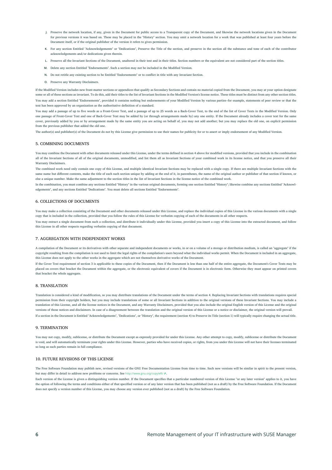- **J.** Preserve the network location, if any, given in the Document for public access to a Transparent copy of the Document, and likewise the network locations given in the Document for previous versions it was based on. These may be placed in the "History" section. You may omit a network location for a work that was published at least four years before the Document itself, or if the original publisher of the version it refers to gives permission.
- **K.** For any section Entitled "Acknowledgements" or "Dedications", Preserve the Title of the section, and preserve in the section all the substance and tone of each of the contributor acknowledgements and/or dedications given therein.
- **L.** Preserve all the Invariant Sections of the Document, unaltered in their text and in their titles. Section numbers or the equivalent are not considered part of the section titles.
- **M.** Delete any section Entitled "Endorsements". Such a section may not be included in the Modified Version.
- **N.** Do not retitle any existing section to be Entitled "Endorsements" or to conflict in title with any Invariant Section.
- **O.** Preserve any Warranty Disclaimers.

If the Modified Version includes new front-matter sections or appendices that qualify as Secondary Sections and contain no material copied from the Document, you may at your option designate some or all of these sections as invariant. To do this, add their titles to the list of Invariant Sections in the Modified Version's license notice. These titles must be distinct from any other section titles. You may add a section Entitled "Endorsements", provided it contains nothing but endorsements of your Modified Version by various parties--for example, statements of peer review or that the text has been approved by an organization as the authoritative definition of a standard.

You may add a passage of up to five words as a Front-Cover Text, and a passage of up to 25 words as a Back-Cover Text, to the end of the list of Cover Texts in the Modified Version. Only one passage of Front-Cover Text and one of Back-Cover Text may be added by (or through arrangements made by) any one entity. If the Document already includes a cover text for the same cover, previously added by you or by arrangement made by the same entity you are acting on behalf of, you may not add another; but you may replace the old one, on explicit permission from the previous publisher that added the old one.

The author(s) and publisher(s) of the Document do not by this License give permission to use their names for publicity for or to assert or imply endorsement of any Modified Version.

#### 5. COMBINING DOCUMENTS

You may combine the Document with other documents released under this License, under the terms defined in section 4 above for modified versions, provided that you include in the combination all of the Invariant Sections of all of the original documents, unmodified, and list them all as Invariant Sections of your combined work in its license notice, and that you preserve all their Warranty Disclaimers.

The combined work need only contain one copy of this License, and multiple identical Invariant Sections may be replaced with a single copy. If there are multiple Invariant Sections with the same name but different contents, make the title of each such section unique by adding at the end of it, in parentheses, the name of the original author or publisher of that section if known, or else a unique number. Make the same adjustment to the section titles in the list of Invariant Sections in the license notice of the combined work.

In the combination, you must combine any sections Entitled "History" in the various original documents, forming one section Entitled "History"; likewise combine any sections Entitled "Acknowledgements", and any sections Entitled "Dedications". You must delete all sections Entitled "Endorsements".

#### 6. COLLECTIONS OF DOCUMENTS

You may make a collection consisting of the Document and other documents released under this License, and replace the individual copies of this License in the various documents with a single copy that is included in the collection, provided that you follow the rules of this License for verbatim copying of each of the documents in all other respects.

You may extract a single document from such a collection, and distribute it individually under this License, provided you insert a copy of this License into the extracted document, and follow this License in all other respects regarding verbatim copying of that document.

#### 7. AGGREGATION WITH INDEPENDENT WORKS

A compilation of the Document or its derivatives with other separate and independent documents or works, in or on a volume of a storage or distribution medium, is called an "aggregate" if the copyright resulting from the compilation is not used to limit the legal rights of the compilation's users beyond what the individual works permit. When the Document is included in an aggregate, this License does not apply to the other works in the aggregate which are not themselves derivative works of the Document.

If the Cover Text requirement of section 3 is applicable to these copies of the Document, then if the Document is less than one half of the entire aggregate, the Document's Cover Texts may be placed on covers that bracket the Document within the aggregate, or the electronic equivalent of covers if the Document is in electronic form. Otherwise they must appear on printed covers that bracket the whole aggregate.

#### 8. TRANSLATION

Translation is considered a kind of modification, so you may distribute translations of the Document under the terms of section 4. Replacing Invariant Sections with translations requires special permission from their copyright holders, but you may include translations of some or all Invariant Sections in addition to the original versions of these Invariant Sections. You may include a translation of this License, and all the license notices in the Document, and any Warranty Disclaimers, provided that you also include the original English version of this License and the original versions of those notices and disclaimers. In case of a disagreement between the translation and the original version of this License or a notice or disclaimer, the original version will prevail. If a section in the Document is Entitled "Acknowledgements", "Dedications", or "History", the requirement (section 4) to Preserve its Title (section 1) will typically require changing the actual title.

#### 9. TERMINATION

You may not copy, modify, sublicense, or distribute the Document except as expressly provided for under this License. Any other attempt to copy, modify, sublicense or distribute the Document is void. and will automatically terminate your rights under this License. However, parties who have received copies, or rights, from you under this License will not have their licenses terminated so long as such parties remain in full compliance.

#### 10. FUTURE REVISIONS OF THIS LICENSE

The Free Software Foundation may publish new, revised versions of the GNU Free Documentation License from time to time. Such new versions will be similar in spirit to the present version, but may differ in detail to address new problems or concerns. See <http://www.gnu.org/copyleft/>  $\mathbb{Z}$ .

Each version of the License is given a distinguishing version number. If the Document specifies that a particular numbered version of this License "or any later version" applies to it, you have the option of following the terms and conditions either of that specified version or of any later version that has been published (not as a draft) by the Free Software Foundation. If the Document does not specify a version number of this License, you may choose any version ever published (not as a draft) by the Free Software Foundation.